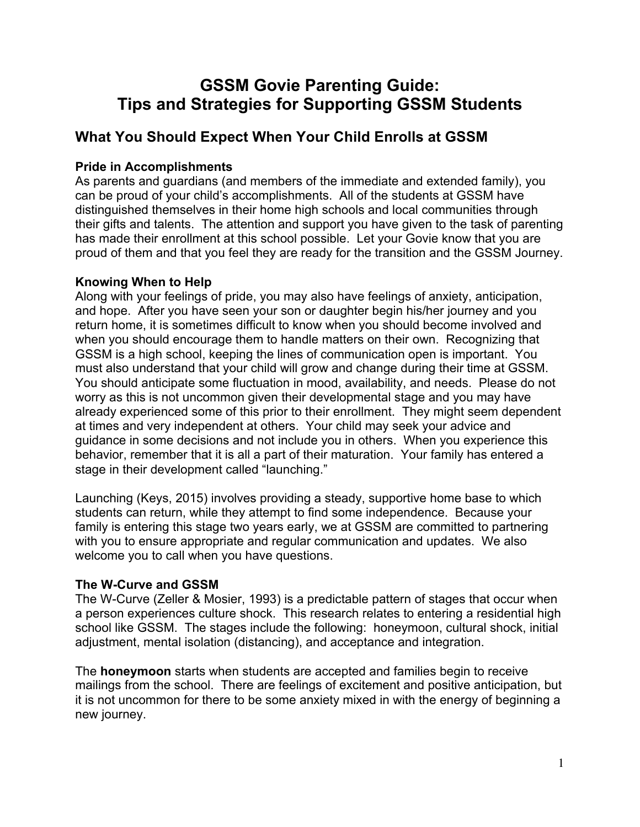# **GSSM Govie Parenting Guide: Tips and Strategies for Supporting GSSM Students**

# **What You Should Expect When Your Child Enrolls at GSSM**

### **Pride in Accomplishments**

As parents and guardians (and members of the immediate and extended family), you can be proud of your child's accomplishments. All of the students at GSSM have distinguished themselves in their home high schools and local communities through their gifts and talents. The attention and support you have given to the task of parenting has made their enrollment at this school possible. Let your Govie know that you are proud of them and that you feel they are ready for the transition and the GSSM Journey.

### **Knowing When to Help**

Along with your feelings of pride, you may also have feelings of anxiety, anticipation, and hope. After you have seen your son or daughter begin his/her journey and you return home, it is sometimes difficult to know when you should become involved and when you should encourage them to handle matters on their own. Recognizing that GSSM is a high school, keeping the lines of communication open is important. You must also understand that your child will grow and change during their time at GSSM. You should anticipate some fluctuation in mood, availability, and needs. Please do not worry as this is not uncommon given their developmental stage and you may have already experienced some of this prior to their enrollment. They might seem dependent at times and very independent at others. Your child may seek your advice and guidance in some decisions and not include you in others. When you experience this behavior, remember that it is all a part of their maturation. Your family has entered a stage in their development called "launching."

Launching (Keys, 2015) involves providing a steady, supportive home base to which students can return, while they attempt to find some independence. Because your family is entering this stage two years early, we at GSSM are committed to partnering with you to ensure appropriate and regular communication and updates. We also welcome you to call when you have questions.

### **The W-Curve and GSSM**

The W-Curve (Zeller & Mosier, 1993) is a predictable pattern of stages that occur when a person experiences culture shock. This research relates to entering a residential high school like GSSM. The stages include the following: honeymoon, cultural shock, initial adjustment, mental isolation (distancing), and acceptance and integration.

The **honeymoon** starts when students are accepted and families begin to receive mailings from the school. There are feelings of excitement and positive anticipation, but it is not uncommon for there to be some anxiety mixed in with the energy of beginning a new journey.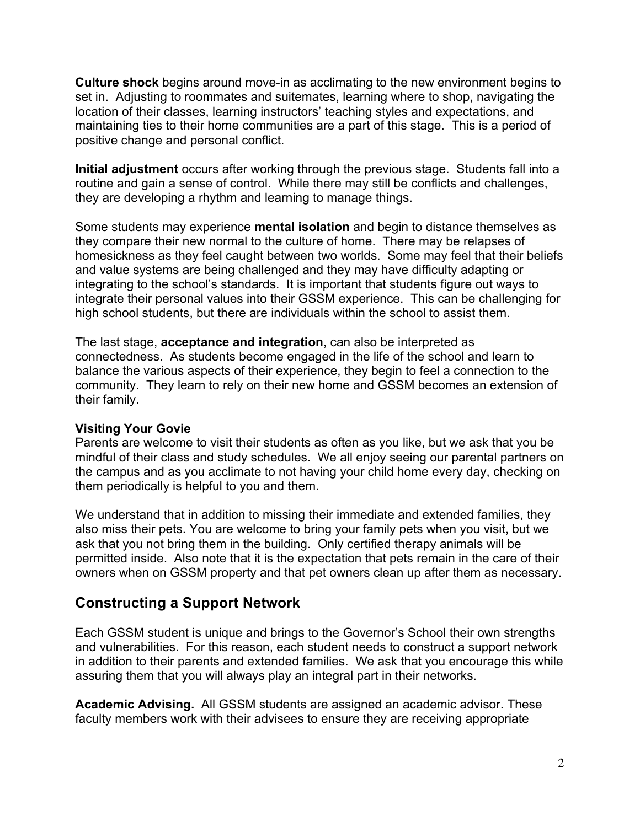**Culture shock** begins around move-in as acclimating to the new environment begins to set in. Adjusting to roommates and suitemates, learning where to shop, navigating the location of their classes, learning instructors' teaching styles and expectations, and maintaining ties to their home communities are a part of this stage. This is a period of positive change and personal conflict.

**Initial adjustment** occurs after working through the previous stage. Students fall into a routine and gain a sense of control. While there may still be conflicts and challenges, they are developing a rhythm and learning to manage things.

Some students may experience **mental isolation** and begin to distance themselves as they compare their new normal to the culture of home. There may be relapses of homesickness as they feel caught between two worlds. Some may feel that their beliefs and value systems are being challenged and they may have difficulty adapting or integrating to the school's standards. It is important that students figure out ways to integrate their personal values into their GSSM experience. This can be challenging for high school students, but there are individuals within the school to assist them.

The last stage, **acceptance and integration**, can also be interpreted as connectedness. As students become engaged in the life of the school and learn to balance the various aspects of their experience, they begin to feel a connection to the community. They learn to rely on their new home and GSSM becomes an extension of their family.

#### **Visiting Your Govie**

Parents are welcome to visit their students as often as you like, but we ask that you be mindful of their class and study schedules. We all enjoy seeing our parental partners on the campus and as you acclimate to not having your child home every day, checking on them periodically is helpful to you and them.

We understand that in addition to missing their immediate and extended families, they also miss their pets. You are welcome to bring your family pets when you visit, but we ask that you not bring them in the building. Only certified therapy animals will be permitted inside. Also note that it is the expectation that pets remain in the care of their owners when on GSSM property and that pet owners clean up after them as necessary.

## **Constructing a Support Network**

Each GSSM student is unique and brings to the Governor's School their own strengths and vulnerabilities. For this reason, each student needs to construct a support network in addition to their parents and extended families. We ask that you encourage this while assuring them that you will always play an integral part in their networks.

**Academic Advising.** All GSSM students are assigned an academic advisor. These faculty members work with their advisees to ensure they are receiving appropriate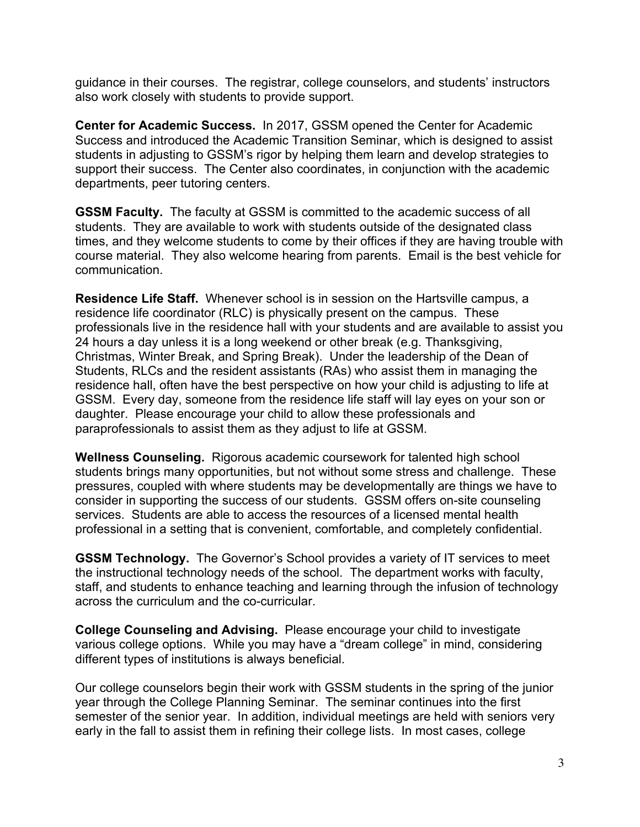guidance in their courses. The registrar, college counselors, and students' instructors also work closely with students to provide support.

**Center for Academic Success.** In 2017, GSSM opened the Center for Academic Success and introduced the Academic Transition Seminar, which is designed to assist students in adjusting to GSSM's rigor by helping them learn and develop strategies to support their success. The Center also coordinates, in conjunction with the academic departments, peer tutoring centers.

**GSSM Faculty.** The faculty at GSSM is committed to the academic success of all students. They are available to work with students outside of the designated class times, and they welcome students to come by their offices if they are having trouble with course material. They also welcome hearing from parents. Email is the best vehicle for communication.

**Residence Life Staff.** Whenever school is in session on the Hartsville campus, a residence life coordinator (RLC) is physically present on the campus. These professionals live in the residence hall with your students and are available to assist you 24 hours a day unless it is a long weekend or other break (e.g. Thanksgiving, Christmas, Winter Break, and Spring Break). Under the leadership of the Dean of Students, RLCs and the resident assistants (RAs) who assist them in managing the residence hall, often have the best perspective on how your child is adjusting to life at GSSM. Every day, someone from the residence life staff will lay eyes on your son or daughter. Please encourage your child to allow these professionals and paraprofessionals to assist them as they adjust to life at GSSM.

**Wellness Counseling.** Rigorous academic coursework for talented high school students brings many opportunities, but not without some stress and challenge. These pressures, coupled with where students may be developmentally are things we have to consider in supporting the success of our students. GSSM offers on-site counseling services. Students are able to access the resources of a licensed mental health professional in a setting that is convenient, comfortable, and completely confidential.

**GSSM Technology.** The Governor's School provides a variety of IT services to meet the instructional technology needs of the school. The department works with faculty, staff, and students to enhance teaching and learning through the infusion of technology across the curriculum and the co-curricular.

**College Counseling and Advising.** Please encourage your child to investigate various college options. While you may have a "dream college" in mind, considering different types of institutions is always beneficial.

Our college counselors begin their work with GSSM students in the spring of the junior year through the College Planning Seminar. The seminar continues into the first semester of the senior year. In addition, individual meetings are held with seniors very early in the fall to assist them in refining their college lists. In most cases, college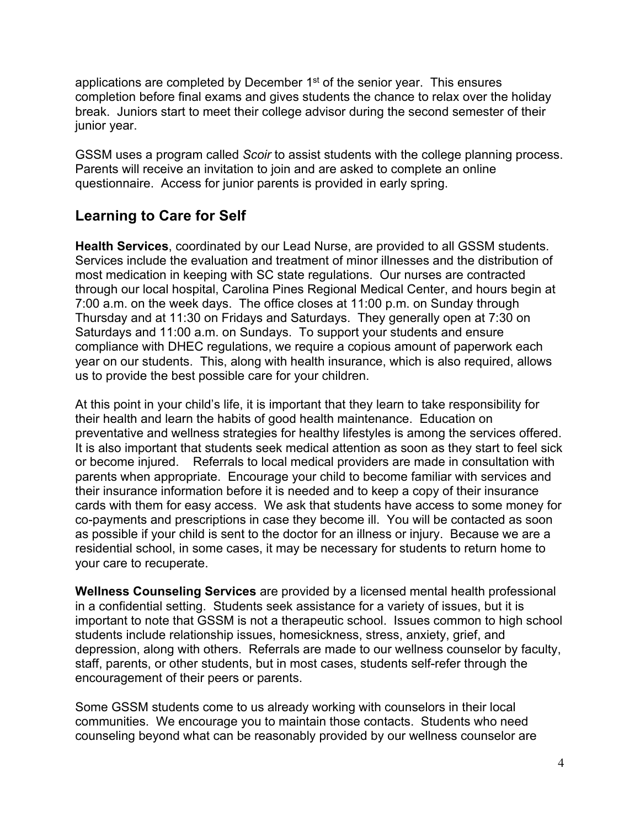applications are completed by December  $1<sup>st</sup>$  of the senior year. This ensures completion before final exams and gives students the chance to relax over the holiday break. Juniors start to meet their college advisor during the second semester of their junior year.

GSSM uses a program called *Scoir* to assist students with the college planning process. Parents will receive an invitation to join and are asked to complete an online questionnaire. Access for junior parents is provided in early spring.

# **Learning to Care for Self**

**Health Services**, coordinated by our Lead Nurse, are provided to all GSSM students. Services include the evaluation and treatment of minor illnesses and the distribution of most medication in keeping with SC state regulations. Our nurses are contracted through our local hospital, Carolina Pines Regional Medical Center, and hours begin at 7:00 a.m. on the week days. The office closes at 11:00 p.m. on Sunday through Thursday and at 11:30 on Fridays and Saturdays. They generally open at 7:30 on Saturdays and 11:00 a.m. on Sundays. To support your students and ensure compliance with DHEC regulations, we require a copious amount of paperwork each year on our students. This, along with health insurance, which is also required, allows us to provide the best possible care for your children.

At this point in your child's life, it is important that they learn to take responsibility for their health and learn the habits of good health maintenance. Education on preventative and wellness strategies for healthy lifestyles is among the services offered. It is also important that students seek medical attention as soon as they start to feel sick or become injured. Referrals to local medical providers are made in consultation with parents when appropriate. Encourage your child to become familiar with services and their insurance information before it is needed and to keep a copy of their insurance cards with them for easy access. We ask that students have access to some money for co-payments and prescriptions in case they become ill. You will be contacted as soon as possible if your child is sent to the doctor for an illness or injury. Because we are a residential school, in some cases, it may be necessary for students to return home to your care to recuperate.

**Wellness Counseling Services** are provided by a licensed mental health professional in a confidential setting. Students seek assistance for a variety of issues, but it is important to note that GSSM is not a therapeutic school. Issues common to high school students include relationship issues, homesickness, stress, anxiety, grief, and depression, along with others. Referrals are made to our wellness counselor by faculty, staff, parents, or other students, but in most cases, students self-refer through the encouragement of their peers or parents.

Some GSSM students come to us already working with counselors in their local communities. We encourage you to maintain those contacts. Students who need counseling beyond what can be reasonably provided by our wellness counselor are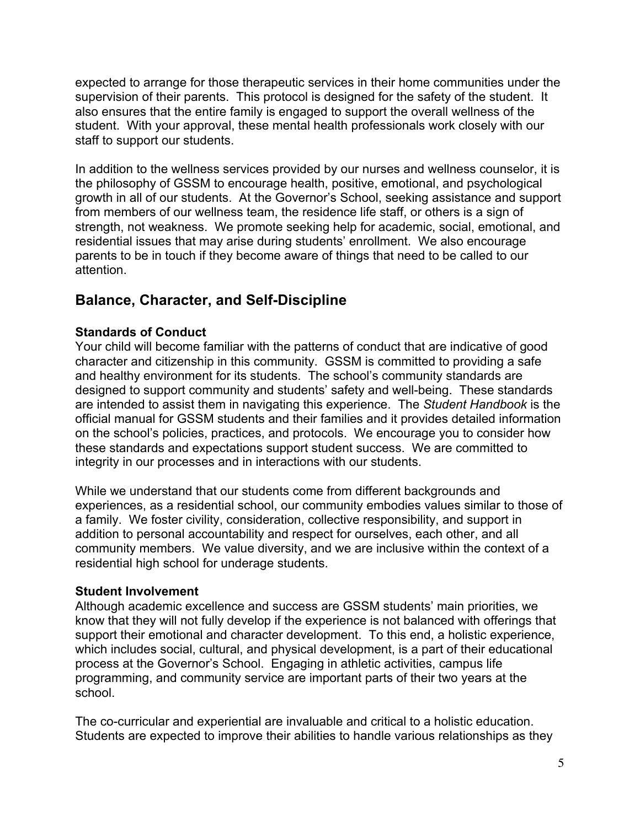expected to arrange for those therapeutic services in their home communities under the supervision of their parents. This protocol is designed for the safety of the student. It also ensures that the entire family is engaged to support the overall wellness of the student. With your approval, these mental health professionals work closely with our staff to support our students.

In addition to the wellness services provided by our nurses and wellness counselor, it is the philosophy of GSSM to encourage health, positive, emotional, and psychological growth in all of our students. At the Governor's School, seeking assistance and support from members of our wellness team, the residence life staff, or others is a sign of strength, not weakness. We promote seeking help for academic, social, emotional, and residential issues that may arise during students' enrollment. We also encourage parents to be in touch if they become aware of things that need to be called to our attention.

## **Balance, Character, and Self-Discipline**

### **Standards of Conduct**

Your child will become familiar with the patterns of conduct that are indicative of good character and citizenship in this community. GSSM is committed to providing a safe and healthy environment for its students. The school's community standards are designed to support community and students' safety and well-being. These standards are intended to assist them in navigating this experience. The *Student Handbook* is the official manual for GSSM students and their families and it provides detailed information on the school's policies, practices, and protocols. We encourage you to consider how these standards and expectations support student success. We are committed to integrity in our processes and in interactions with our students.

While we understand that our students come from different backgrounds and experiences, as a residential school, our community embodies values similar to those of a family. We foster civility, consideration, collective responsibility, and support in addition to personal accountability and respect for ourselves, each other, and all community members. We value diversity, and we are inclusive within the context of a residential high school for underage students.

#### **Student Involvement**

Although academic excellence and success are GSSM students' main priorities, we know that they will not fully develop if the experience is not balanced with offerings that support their emotional and character development. To this end, a holistic experience, which includes social, cultural, and physical development, is a part of their educational process at the Governor's School. Engaging in athletic activities, campus life programming, and community service are important parts of their two years at the school.

The co-curricular and experiential are invaluable and critical to a holistic education. Students are expected to improve their abilities to handle various relationships as they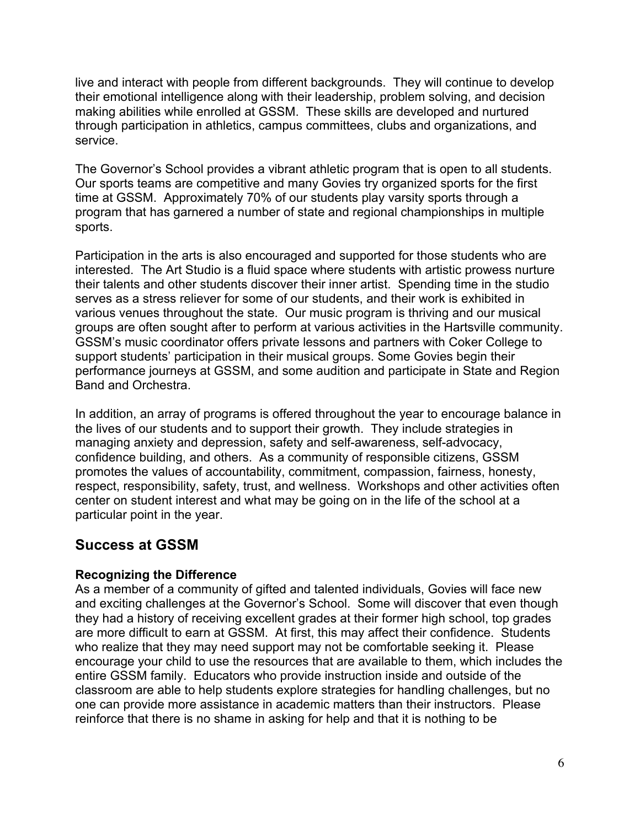live and interact with people from different backgrounds. They will continue to develop their emotional intelligence along with their leadership, problem solving, and decision making abilities while enrolled at GSSM. These skills are developed and nurtured through participation in athletics, campus committees, clubs and organizations, and service.

The Governor's School provides a vibrant athletic program that is open to all students. Our sports teams are competitive and many Govies try organized sports for the first time at GSSM. Approximately 70% of our students play varsity sports through a program that has garnered a number of state and regional championships in multiple sports.

Participation in the arts is also encouraged and supported for those students who are interested. The Art Studio is a fluid space where students with artistic prowess nurture their talents and other students discover their inner artist. Spending time in the studio serves as a stress reliever for some of our students, and their work is exhibited in various venues throughout the state. Our music program is thriving and our musical groups are often sought after to perform at various activities in the Hartsville community. GSSM's music coordinator offers private lessons and partners with Coker College to support students' participation in their musical groups. Some Govies begin their performance journeys at GSSM, and some audition and participate in State and Region Band and Orchestra.

In addition, an array of programs is offered throughout the year to encourage balance in the lives of our students and to support their growth. They include strategies in managing anxiety and depression, safety and self-awareness, self-advocacy, confidence building, and others. As a community of responsible citizens, GSSM promotes the values of accountability, commitment, compassion, fairness, honesty, respect, responsibility, safety, trust, and wellness. Workshops and other activities often center on student interest and what may be going on in the life of the school at a particular point in the year.

## **Success at GSSM**

#### **Recognizing the Difference**

As a member of a community of gifted and talented individuals, Govies will face new and exciting challenges at the Governor's School. Some will discover that even though they had a history of receiving excellent grades at their former high school, top grades are more difficult to earn at GSSM. At first, this may affect their confidence. Students who realize that they may need support may not be comfortable seeking it. Please encourage your child to use the resources that are available to them, which includes the entire GSSM family. Educators who provide instruction inside and outside of the classroom are able to help students explore strategies for handling challenges, but no one can provide more assistance in academic matters than their instructors. Please reinforce that there is no shame in asking for help and that it is nothing to be